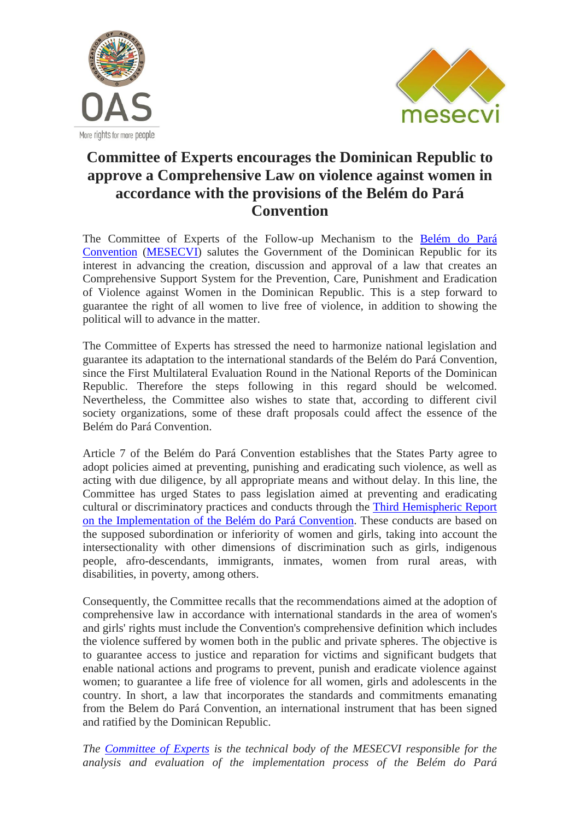



## **Committee of Experts encourages the Dominican Republic to approve a Comprehensive Law on violence against women in accordance with the provisions of the Belém do Pará Convention**

The Committee of Experts of the Follow-up Mechanism to the [Belém do Pará](http://www.oas.org/en/mesecvi/docs/BelemDoPara-ENGLISH.pdf) [Convention](http://www.oas.org/en/mesecvi/docs/BelemDoPara-ENGLISH.pdf) [\(MESECVI\)](http://www.oas.org/en/mesecvi/about.asp) salutes the Government of the Dominican Republic for its interest in advancing the creation, discussion and approval of a law that creates an Comprehensive Support System for the Prevention, Care, Punishment and Eradication of Violence against Women in the Dominican Republic. This is a step forward to guarantee the right of all women to live free of violence, in addition to showing the political will to advance in the matter.

The Committee of Experts has stressed the need to harmonize national legislation and guarantee its adaptation to the international standards of the Belém do Pará Convention, since the First Multilateral Evaluation Round in the National Reports of the Dominican Republic. Therefore the steps following in this regard should be welcomed. Nevertheless, the Committee also wishes to state that, according to different civil society organizations, some of these draft proposals could affect the essence of the Belém do Pará Convention.

Article 7 of the Belém do Pará Convention establishes that the States Party agree to adopt policies aimed at preventing, punishing and eradicating such violence, as well as acting with due diligence, by all appropriate means and without delay. In this line, the Committee has urged States to pass legislation aimed at preventing and eradicating cultural or discriminatory practices and conducts through the [Third Hemispheric Report](https://www.oas.org/en/mesecvi/docs/TercerInformeHemisferico-EN.pdf)  [on the Implementation of the Belém do Pará](https://www.oas.org/en/mesecvi/docs/TercerInformeHemisferico-EN.pdf) Convention. These conducts are based on the supposed subordination or inferiority of women and girls, taking into account the intersectionality with other dimensions of discrimination such as girls, indigenous people, afro-descendants, immigrants, inmates, women from rural areas, with disabilities, in poverty, among others.

Consequently, the Committee recalls that the recommendations aimed at the adoption of comprehensive law in accordance with international standards in the area of women's and girls' rights must include the Convention's comprehensive definition which includes the violence suffered by women both in the public and private spheres. The objective is to guarantee access to justice and reparation for victims and significant budgets that enable national actions and programs to prevent, punish and eradicate violence against women; to guarantee a life free of violence for all women, girls and adolescents in the country. In short, a law that incorporates the standards and commitments emanating from the Belem do Pará Convention, an international instrument that has been signed and ratified by the Dominican Republic.

*The [Committee of Experts](http://www.oas.org/en/mesecvi/Experts.asp) is the technical body of the MESECVI responsible for the analysis and evaluation of the implementation process of the Belém do Pará*